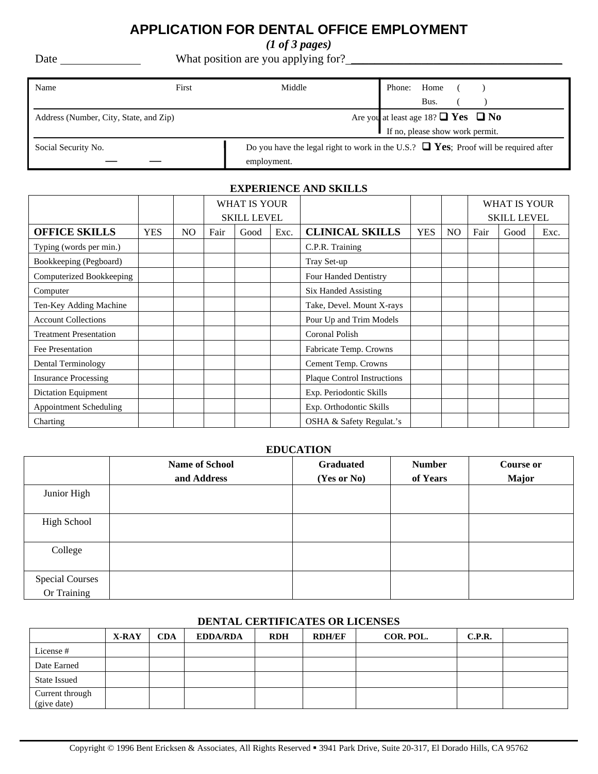## **APPLICATION FOR DENTAL OFFICE EMPLOYMENT**

*(1 of 3 pages)* 

Date What position are you applying for? \_\_\_\_\_\_\_\_\_\_\_\_\_\_\_\_\_\_\_\_\_\_\_\_\_\_\_\_\_\_\_\_\_\_\_\_

| Name                                   | First | Middle                                                                                    | Phone:<br>Home                                |  |
|----------------------------------------|-------|-------------------------------------------------------------------------------------------|-----------------------------------------------|--|
|                                        |       |                                                                                           | Bus.                                          |  |
| Address (Number, City, State, and Zip) |       |                                                                                           | Are you at least age 18? $\Box$ Yes $\Box$ No |  |
|                                        |       |                                                                                           | If no, please show work permit.               |  |
| Social Security No.                    |       | Do you have the legal right to work in the U.S.? $\Box$ Yes; Proof will be required after |                                               |  |
|                                        |       | employment.                                                                               |                                               |  |

### **EXPERIENCE AND SKILLS**

|                               |            |                |      | WHAT IS YOUR       |      |                                    |            |     |                    | WHAT IS YOUR |      |
|-------------------------------|------------|----------------|------|--------------------|------|------------------------------------|------------|-----|--------------------|--------------|------|
|                               |            |                |      | <b>SKILL LEVEL</b> |      |                                    |            |     | <b>SKILL LEVEL</b> |              |      |
| <b>OFFICE SKILLS</b>          | <b>YES</b> | N <sub>O</sub> | Fair | Good               | Exc. | <b>CLINICAL SKILLS</b>             | <b>YES</b> | NO. | Fair               | Good         | Exc. |
| Typing (words per min.)       |            |                |      |                    |      | C.P.R. Training                    |            |     |                    |              |      |
| Bookkeeping (Pegboard)        |            |                |      |                    |      | Tray Set-up                        |            |     |                    |              |      |
| Computerized Bookkeeping      |            |                |      |                    |      | Four Handed Dentistry              |            |     |                    |              |      |
| Computer                      |            |                |      |                    |      | Six Handed Assisting               |            |     |                    |              |      |
| Ten-Key Adding Machine        |            |                |      |                    |      | Take, Devel. Mount X-rays          |            |     |                    |              |      |
| <b>Account Collections</b>    |            |                |      |                    |      | Pour Up and Trim Models            |            |     |                    |              |      |
| <b>Treatment Presentation</b> |            |                |      |                    |      | <b>Coronal Polish</b>              |            |     |                    |              |      |
| Fee Presentation              |            |                |      |                    |      | Fabricate Temp. Crowns             |            |     |                    |              |      |
| <b>Dental Terminology</b>     |            |                |      |                    |      | Cement Temp. Crowns                |            |     |                    |              |      |
| <b>Insurance Processing</b>   |            |                |      |                    |      | <b>Plaque Control Instructions</b> |            |     |                    |              |      |
| Dictation Equipment           |            |                |      |                    |      | Exp. Periodontic Skills            |            |     |                    |              |      |
| <b>Appointment Scheduling</b> |            |                |      |                    |      | Exp. Orthodontic Skills            |            |     |                    |              |      |
| Charting                      |            |                |      |                    |      | OSHA & Safety Regulat.'s           |            |     |                    |              |      |

#### **EDUCATION**

|                                       | <b>Name of School</b> | Graduated   | <b>Number</b> | <b>Course or</b> |
|---------------------------------------|-----------------------|-------------|---------------|------------------|
|                                       | and Address           | (Yes or No) | of Years      | <b>Major</b>     |
| Junior High                           |                       |             |               |                  |
| <b>High School</b>                    |                       |             |               |                  |
| College                               |                       |             |               |                  |
| <b>Special Courses</b><br>Or Training |                       |             |               |                  |

#### **DENTAL CERTIFICATES OR LICENSES**

|                                | X-RAY | <b>CDA</b> | <b>EDDA/RDA</b> | <b>RDH</b> | <b>RDH/EF</b> | COR. POL. | C.P.R. |  |
|--------------------------------|-------|------------|-----------------|------------|---------------|-----------|--------|--|
| License #                      |       |            |                 |            |               |           |        |  |
| Date Earned                    |       |            |                 |            |               |           |        |  |
| <b>State Issued</b>            |       |            |                 |            |               |           |        |  |
| Current through<br>(give date) |       |            |                 |            |               |           |        |  |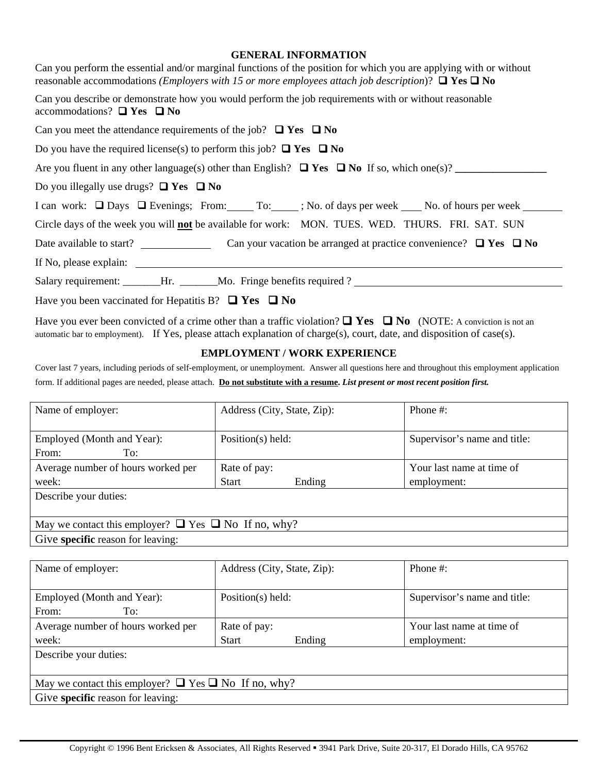#### **GENERAL INFORMATION**

| Can you perform the essential and/or marginal functions of the position for which you are applying with or without<br>reasonable accommodations ( <i>Employers with 15 or more employees attach job description</i> )? $\Box$ Yes $\Box$ No |
|---------------------------------------------------------------------------------------------------------------------------------------------------------------------------------------------------------------------------------------------|
| Can you describe or demonstrate how you would perform the job requirements with or without reasonable<br>accommodations? $\Box$ Yes $\Box$ No                                                                                               |
| Can you meet the attendance requirements of the job? $\Box$ Yes $\Box$ No                                                                                                                                                                   |
| Do you have the required license(s) to perform this job? $\Box$ Yes $\Box$ No                                                                                                                                                               |
| Are you fluent in any other language(s) other than English? $\Box$ Yes $\Box$ No If so, which one(s)?                                                                                                                                       |
| Do you illegally use drugs? $\Box$ Yes $\Box$ No                                                                                                                                                                                            |
| I can work: □ Days □ Evenings; From: To: ; No. of days per week No. of hours per week No. of hours per week                                                                                                                                 |
| Circle days of the week you will <b>not</b> be available for work: MON. TUES. WED. THURS. FRI. SAT. SUN                                                                                                                                     |
| Date available to start? Can your vacation be arranged at practice convenience? $\Box$ Yes $\Box$ No                                                                                                                                        |
|                                                                                                                                                                                                                                             |
| Salary requirement: _______Hr. ______Mo. Fringe benefits required ?                                                                                                                                                                         |
| Have you been vaccinated for Hepatitis B? $\Box$ Yes $\Box$ No                                                                                                                                                                              |

Have you ever been convicted of a crime other than a traffic violation?  $\Box$  Yes  $\Box$  No (NOTE: A conviction is not an automatic bar to employment).If Yes, please attach explanation of charge(s), court, date, and disposition of case(s).

#### **EMPLOYMENT / WORK EXPERIENCE**

Cover last 7 years, including periods of self-employment, or unemployment. Answer all questions here and throughout this employment application form. If additional pages are needed, please attach. **Do not substitute with a resume.** *List present or most recent position first.* 

| Name of employer:                                              | Address (City, State, Zip): | Phone $\#$ :                 |  |  |  |  |  |
|----------------------------------------------------------------|-----------------------------|------------------------------|--|--|--|--|--|
|                                                                |                             |                              |  |  |  |  |  |
| Employed (Month and Year):                                     | Position(s) held:           | Supervisor's name and title: |  |  |  |  |  |
| From:<br>To:                                                   |                             |                              |  |  |  |  |  |
| Average number of hours worked per                             | Rate of pay:                | Your last name at time of    |  |  |  |  |  |
| week:                                                          | <b>Start</b><br>Ending      | employment:                  |  |  |  |  |  |
| Describe your duties:                                          |                             |                              |  |  |  |  |  |
|                                                                |                             |                              |  |  |  |  |  |
| May we contact this employer? $\Box$ Yes $\Box$ No If no, why? |                             |                              |  |  |  |  |  |
| Give specific reason for leaving:                              |                             |                              |  |  |  |  |  |

| Name of employer:                                              | Address (City, State, Zip): | Phone $#$ :                  |  |  |  |  |  |
|----------------------------------------------------------------|-----------------------------|------------------------------|--|--|--|--|--|
|                                                                |                             |                              |  |  |  |  |  |
| Employed (Month and Year):                                     | Position(s) held:           | Supervisor's name and title: |  |  |  |  |  |
| From:<br>To:                                                   |                             |                              |  |  |  |  |  |
| Average number of hours worked per                             | Rate of pay:                | Your last name at time of    |  |  |  |  |  |
| week:                                                          | <b>Start</b><br>Ending      | employment:                  |  |  |  |  |  |
| Describe your duties:                                          |                             |                              |  |  |  |  |  |
|                                                                |                             |                              |  |  |  |  |  |
| May we contact this employer? $\Box$ Yes $\Box$ No If no, why? |                             |                              |  |  |  |  |  |
| Give specific reason for leaving:                              |                             |                              |  |  |  |  |  |